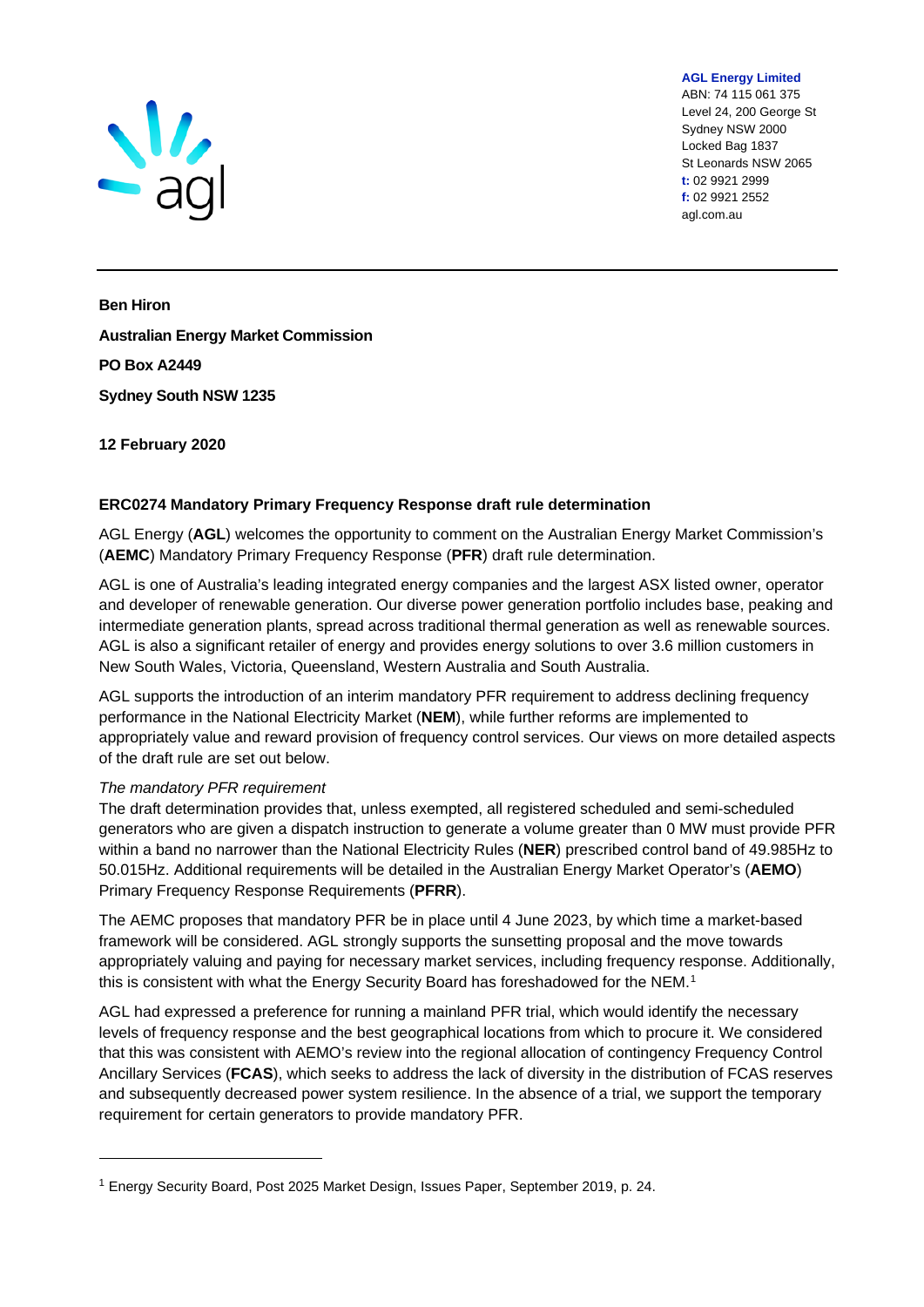

ABN: 74 115 061 375 Level 24, 200 George St Sydney NSW 2000 Locked Bag 1837 St Leonards NSW 2065 **t:** 02 9921 2999 **f:** 02 9921 2552 agl.com.au

**AGL Energy Limited**

**Ben Hiron Australian Energy Market Commission PO Box A2449 Sydney South NSW 1235**

**12 February 2020**

## **ERC0274 Mandatory Primary Frequency Response draft rule determination**

AGL Energy (**AGL**) welcomes the opportunity to comment on the Australian Energy Market Commission's (**AEMC**) Mandatory Primary Frequency Response (**PFR**) draft rule determination.

AGL is one of Australia's leading integrated energy companies and the largest ASX listed owner, operator and developer of renewable generation. Our diverse power generation portfolio includes base, peaking and intermediate generation plants, spread across traditional thermal generation as well as renewable sources. AGL is also a significant retailer of energy and provides energy solutions to over 3.6 million customers in New South Wales, Victoria, Queensland, Western Australia and South Australia.

AGL supports the introduction of an interim mandatory PFR requirement to address declining frequency performance in the National Electricity Market (**NEM**), while further reforms are implemented to appropriately value and reward provision of frequency control services. Our views on more detailed aspects of the draft rule are set out below.

## *The mandatory PFR requirement*

The draft determination provides that, unless exempted, all registered scheduled and semi-scheduled generators who are given a dispatch instruction to generate a volume greater than 0 MW must provide PFR within a band no narrower than the National Electricity Rules (**NER**) prescribed control band of 49.985Hz to 50.015Hz. Additional requirements will be detailed in the Australian Energy Market Operator's (**AEMO**) Primary Frequency Response Requirements (**PFRR**).

The AEMC proposes that mandatory PFR be in place until 4 June 2023, by which time a market-based framework will be considered. AGL strongly supports the sunsetting proposal and the move towards appropriately valuing and paying for necessary market services, including frequency response. Additionally, this is consistent with what the Energy Security Board has foreshadowed for the NEM. [1](#page-0-0)

AGL had expressed a preference for running a mainland PFR trial, which would identify the necessary levels of frequency response and the best geographical locations from which to procure it. We considered that this was consistent with AEMO's review into the regional allocation of contingency Frequency Control Ancillary Services (**FCAS**), which seeks to address the lack of diversity in the distribution of FCAS reserves and subsequently decreased power system resilience. In the absence of a trial, we support the temporary requirement for certain generators to provide mandatory PFR.

<span id="page-0-0"></span><sup>1</sup> Energy Security Board, Post 2025 Market Design, Issues Paper, September 2019, p. 24.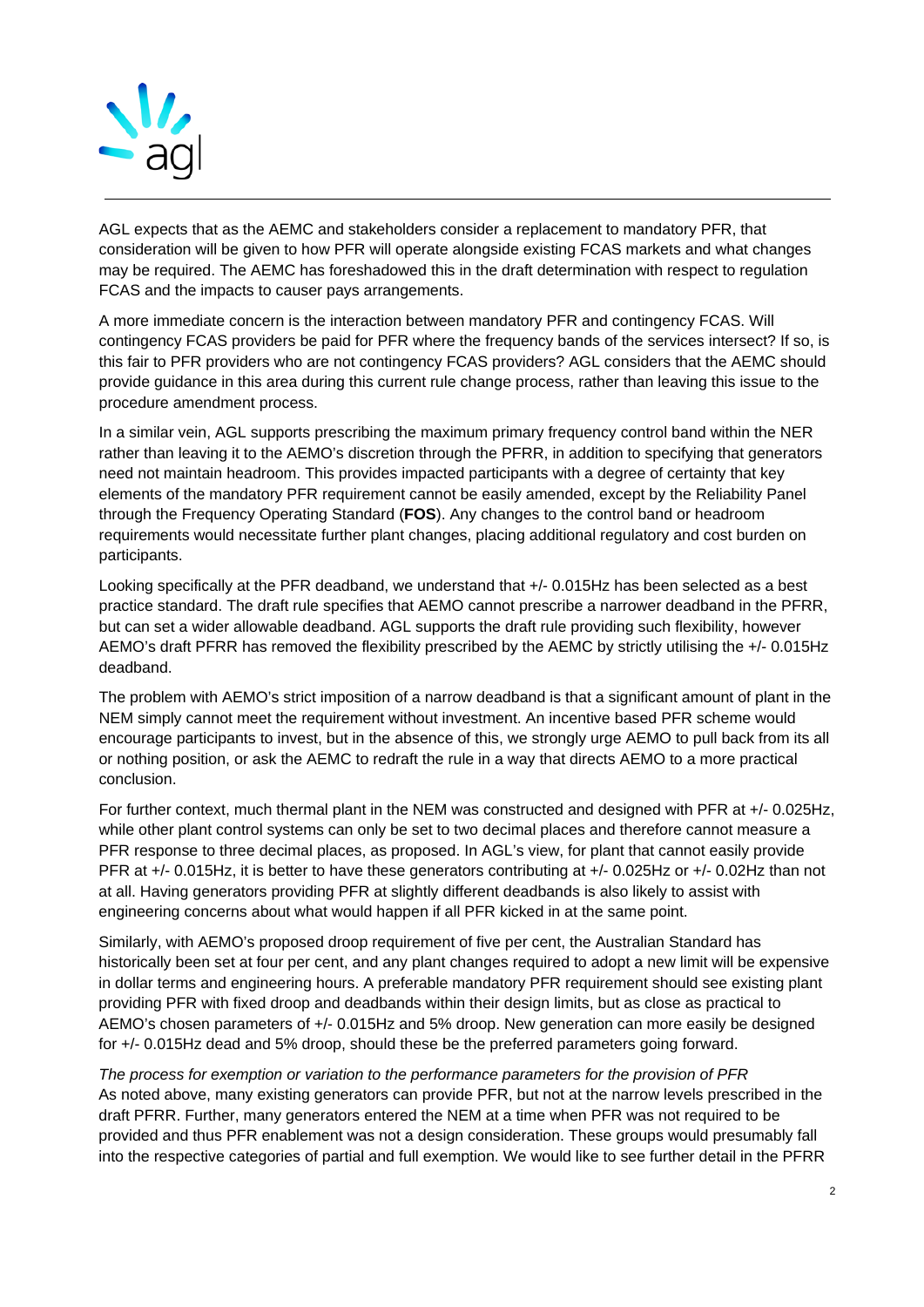

AGL expects that as the AEMC and stakeholders consider a replacement to mandatory PFR, that consideration will be given to how PFR will operate alongside existing FCAS markets and what changes may be required. The AEMC has foreshadowed this in the draft determination with respect to regulation FCAS and the impacts to causer pays arrangements.

A more immediate concern is the interaction between mandatory PFR and contingency FCAS. Will contingency FCAS providers be paid for PFR where the frequency bands of the services intersect? If so, is this fair to PFR providers who are not contingency FCAS providers? AGL considers that the AEMC should provide guidance in this area during this current rule change process, rather than leaving this issue to the procedure amendment process.

In a similar vein, AGL supports prescribing the maximum primary frequency control band within the NER rather than leaving it to the AEMO's discretion through the PFRR, in addition to specifying that generators need not maintain headroom. This provides impacted participants with a degree of certainty that key elements of the mandatory PFR requirement cannot be easily amended, except by the Reliability Panel through the Frequency Operating Standard (**FOS**). Any changes to the control band or headroom requirements would necessitate further plant changes, placing additional regulatory and cost burden on participants.

Looking specifically at the PFR deadband, we understand that +/- 0.015Hz has been selected as a best practice standard. The draft rule specifies that AEMO cannot prescribe a narrower deadband in the PFRR, but can set a wider allowable deadband. AGL supports the draft rule providing such flexibility, however AEMO's draft PFRR has removed the flexibility prescribed by the AEMC by strictly utilising the +/- 0.015Hz deadband.

The problem with AEMO's strict imposition of a narrow deadband is that a significant amount of plant in the NEM simply cannot meet the requirement without investment. An incentive based PFR scheme would encourage participants to invest, but in the absence of this, we strongly urge AEMO to pull back from its all or nothing position, or ask the AEMC to redraft the rule in a way that directs AEMO to a more practical conclusion.

For further context, much thermal plant in the NEM was constructed and designed with PFR at +/- 0.025Hz, while other plant control systems can only be set to two decimal places and therefore cannot measure a PFR response to three decimal places, as proposed. In AGL's view, for plant that cannot easily provide PFR at +/- 0.015Hz, it is better to have these generators contributing at +/- 0.025Hz or +/- 0.02Hz than not at all. Having generators providing PFR at slightly different deadbands is also likely to assist with engineering concerns about what would happen if all PFR kicked in at the same point.

Similarly, with AEMO's proposed droop requirement of five per cent, the Australian Standard has historically been set at four per cent, and any plant changes required to adopt a new limit will be expensive in dollar terms and engineering hours. A preferable mandatory PFR requirement should see existing plant providing PFR with fixed droop and deadbands within their design limits, but as close as practical to AEMO's chosen parameters of +/- 0.015Hz and 5% droop. New generation can more easily be designed for +/- 0.015Hz dead and 5% droop, should these be the preferred parameters going forward.

*The process for exemption or variation to the performance parameters for the provision of PFR*  As noted above, many existing generators can provide PFR, but not at the narrow levels prescribed in the draft PFRR. Further, many generators entered the NEM at a time when PFR was not required to be provided and thus PFR enablement was not a design consideration. These groups would presumably fall into the respective categories of partial and full exemption. We would like to see further detail in the PFRR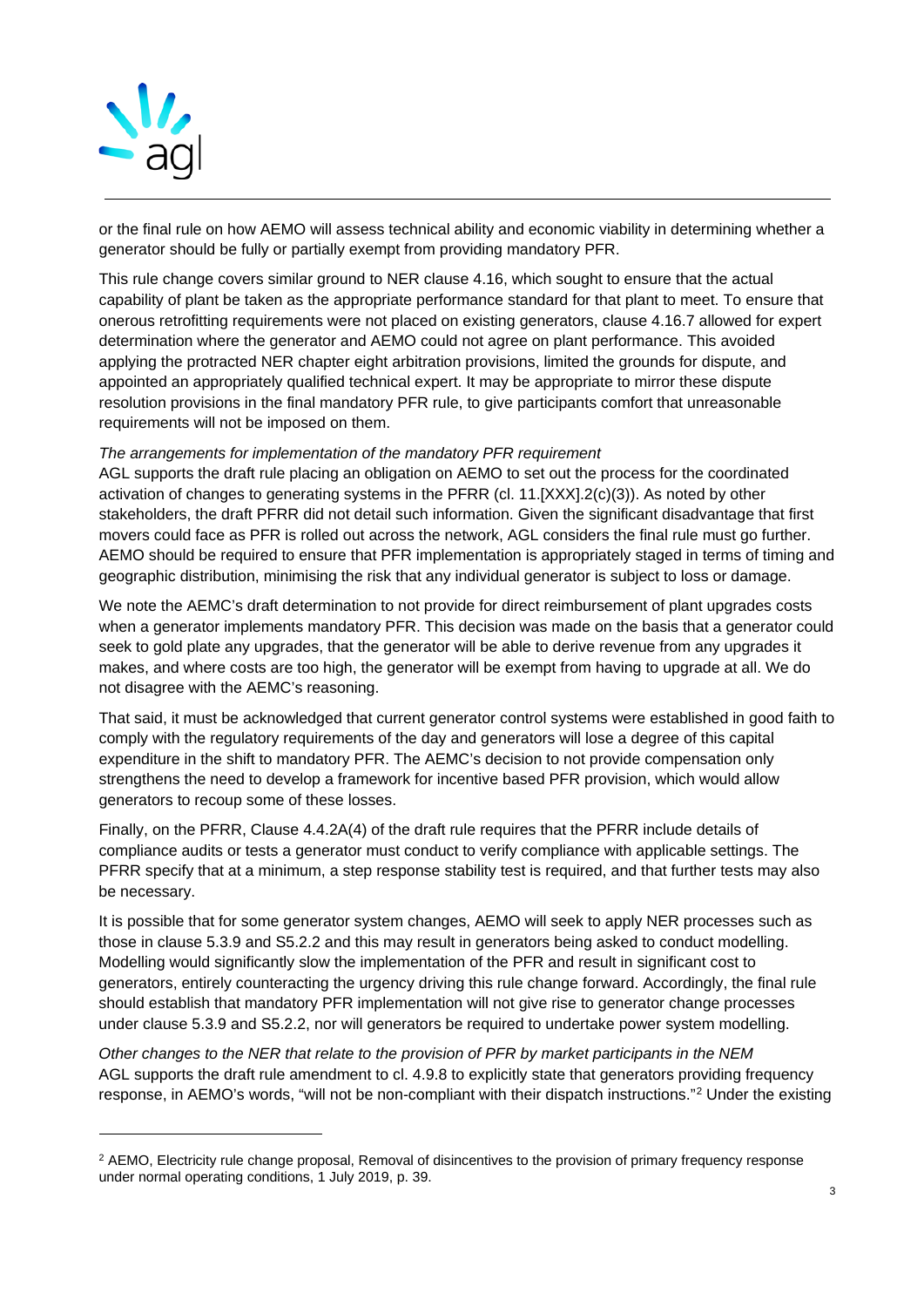

or the final rule on how AEMO will assess technical ability and economic viability in determining whether a generator should be fully or partially exempt from providing mandatory PFR.

This rule change covers similar ground to NER clause 4.16, which sought to ensure that the actual capability of plant be taken as the appropriate performance standard for that plant to meet. To ensure that onerous retrofitting requirements were not placed on existing generators, clause 4.16.7 allowed for expert determination where the generator and AEMO could not agree on plant performance. This avoided applying the protracted NER chapter eight arbitration provisions, limited the grounds for dispute, and appointed an appropriately qualified technical expert. It may be appropriate to mirror these dispute resolution provisions in the final mandatory PFR rule, to give participants comfort that unreasonable requirements will not be imposed on them.

## *The arrangements for implementation of the mandatory PFR requirement*

AGL supports the draft rule placing an obligation on AEMO to set out the process for the coordinated activation of changes to generating systems in the PFRR (cl. 11.[XXX].2(c)(3)). As noted by other stakeholders, the draft PFRR did not detail such information. Given the significant disadvantage that first movers could face as PFR is rolled out across the network, AGL considers the final rule must go further. AEMO should be required to ensure that PFR implementation is appropriately staged in terms of timing and geographic distribution, minimising the risk that any individual generator is subject to loss or damage.

We note the AEMC's draft determination to not provide for direct reimbursement of plant upgrades costs when a generator implements mandatory PFR. This decision was made on the basis that a generator could seek to gold plate any upgrades, that the generator will be able to derive revenue from any upgrades it makes, and where costs are too high, the generator will be exempt from having to upgrade at all. We do not disagree with the AEMC's reasoning.

That said, it must be acknowledged that current generator control systems were established in good faith to comply with the regulatory requirements of the day and generators will lose a degree of this capital expenditure in the shift to mandatory PFR. The AEMC's decision to not provide compensation only strengthens the need to develop a framework for incentive based PFR provision, which would allow generators to recoup some of these losses.

Finally, on the PFRR, Clause 4.4.2A(4) of the draft rule requires that the PFRR include details of compliance audits or tests a generator must conduct to verify compliance with applicable settings. The PFRR specify that at a minimum, a step response stability test is required, and that further tests may also be necessary.

It is possible that for some generator system changes, AEMO will seek to apply NER processes such as those in clause 5.3.9 and S5.2.2 and this may result in generators being asked to conduct modelling. Modelling would significantly slow the implementation of the PFR and result in significant cost to generators, entirely counteracting the urgency driving this rule change forward. Accordingly, the final rule should establish that mandatory PFR implementation will not give rise to generator change processes under clause 5.3.9 and S5.2.2, nor will generators be required to undertake power system modelling.

*Other changes to the NER that relate to the provision of PFR by market participants in the NEM* AGL supports the draft rule amendment to cl. 4.9.8 to explicitly state that generators providing frequency response, in AEMO's words, "will not be non-compliant with their dispatch instructions."[2](#page-2-0) Under the existing

<span id="page-2-0"></span><sup>&</sup>lt;sup>2</sup> AEMO, Electricity rule change proposal, Removal of disincentives to the provision of primary frequency response under normal operating conditions, 1 July 2019, p. 39.